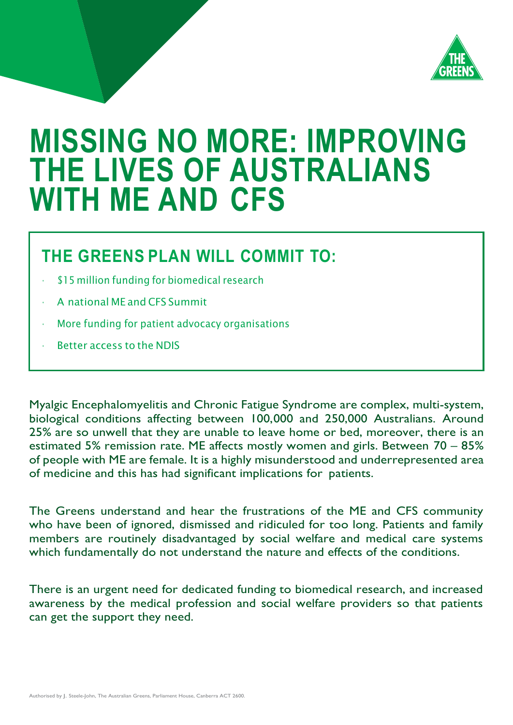

# **MISSING NO MORE: IMPROVING THE LIVES OF AUSTRALIANS WITH ME AND CFS**

## **THE GREENS PLAN WILL COMMIT TO:**

- \$15 million funding for biomedical research
- A national ME and CFS Summit
- More funding for patient advocacy organisations
- Better access to the NDIS

Myalgic Encephalomyelitis and Chronic Fatigue Syndrome are complex, multi-system, biological conditions affecting between 100,000 and 250,000 Australians. Around 25% are so unwell that they are unable to leave home or bed, moreover, there is an estimated 5% remission rate. ME affects mostly women and girls. Between 70 – 85% of people with ME are female. It is a highly misunderstood and underrepresented area of medicine and this has had significant implications for patients.

The Greens understand and hear the frustrations of the ME and CFS community who have been of ignored, dismissed and ridiculed for too long. Patients and family members are routinely disadvantaged by social welfare and medical care systems which fundamentally do not understand the nature and effects of the conditions.

There is an urgent need for dedicated funding to biomedical research, and increased awareness by the medical profession and social welfare providers so that patients can get the support they need.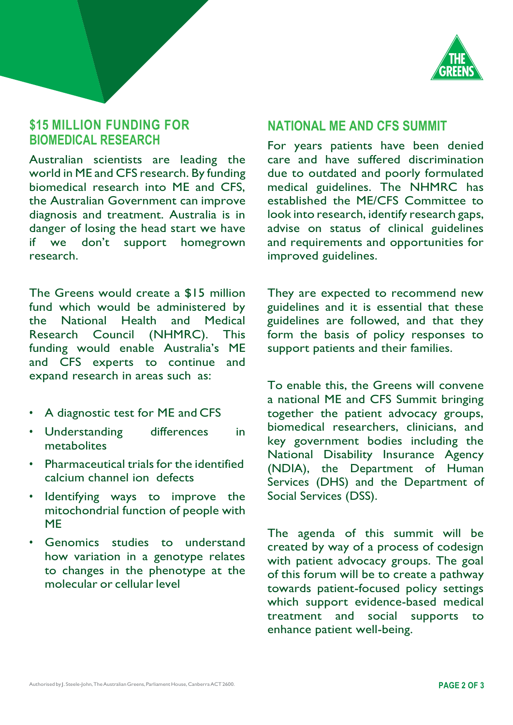

#### **\$15 MILLION FUNDING FOR BIOMEDICAL RESEARCH**

Australian scientists are leading the world in ME and CFS research. By funding biomedical research into ME and CFS, the Australian Government can improve diagnosis and treatment. Australia is in danger of losing the head start we have if we don't support homegrown research.

The Greens would create a \$15 million fund which would be administered by the National Health and Medical Research Council (NHMRC). This funding would enable Australia's ME and CFS experts to continue and expand research in areas such as:

- A diagnostic test for ME and CFS
- Understanding differences in metabolites
- Pharmaceutical trials for the identified calcium channel ion defects
- Identifying ways to improve the mitochondrial function of people with ME
- Genomics studies to understand how variation in a genotype relates to changes in the phenotype at the molecular or cellular level

#### **NATIONAL ME AND CFS SUMMIT**

For years patients have been denied care and have suffered discrimination due to outdated and poorly formulated medical guidelines. The NHMRC has established the ME/CFS Committee to look into research, identify research gaps, advise on status of clinical guidelines and requirements and opportunities for improved guidelines.

They are expected to recommend new guidelines and it is essential that these guidelines are followed, and that they form the basis of policy responses to support patients and their families.

To enable this, the Greens will convene a national ME and CFS Summit bringing together the patient advocacy groups, biomedical researchers, clinicians, and key government bodies including the National Disability Insurance Agency (NDIA), the Department of Human Services (DHS) and the Department of Social Services (DSS).

The agenda of this summit will be created by way of a process of codesign with patient advocacy groups. The goal of this forum will be to create a pathway towards patient-focused policy settings which support evidence-based medical treatment and social supports to enhance patient well-being.